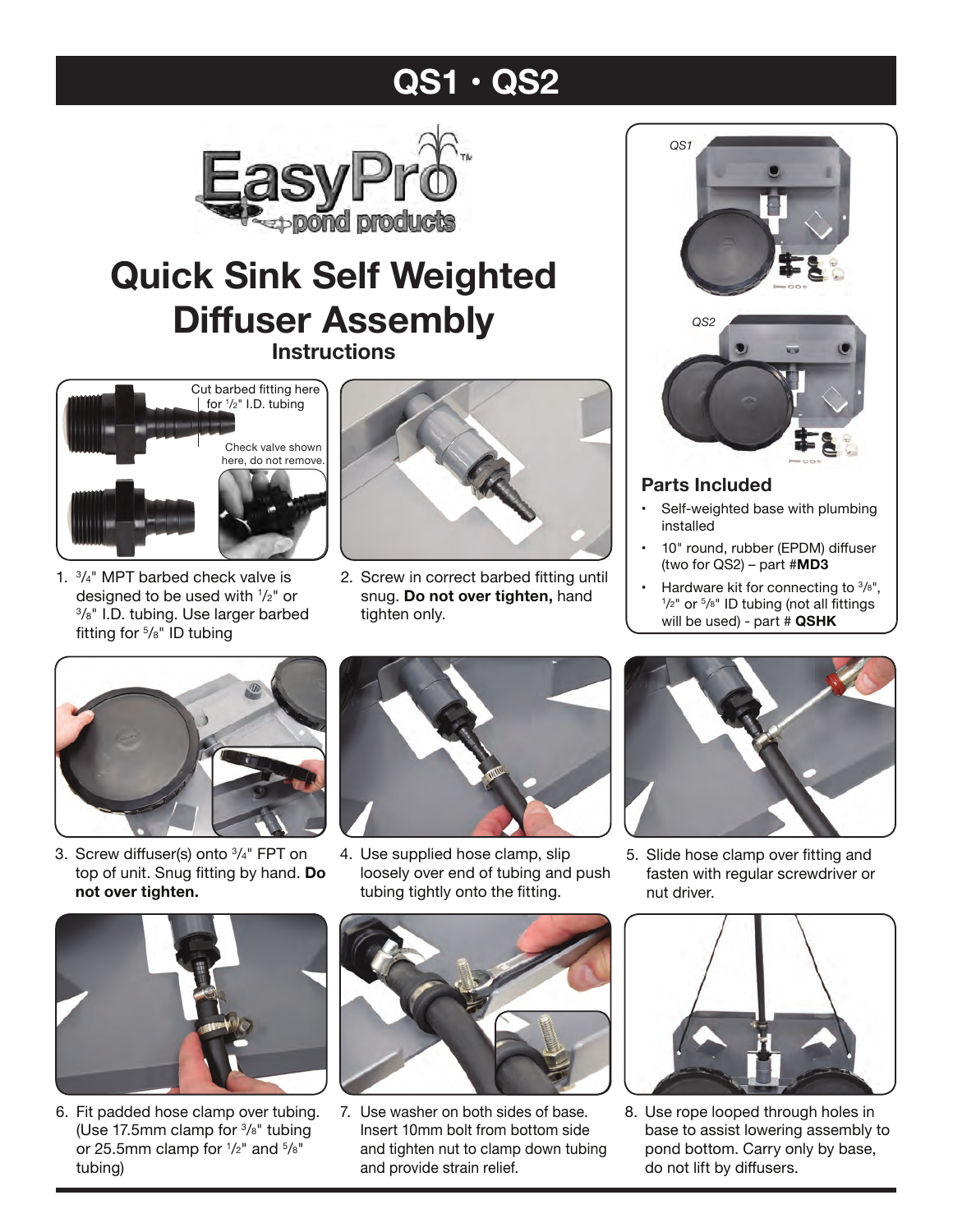# **QS1 • QS2**



# **Quick Sink Self Weighted Diffuser Assembly Instructions**



1. 3/4" MPT barbed check valve is designed to be used with  $1/z$ " or  $3/s$ " I.D. tubing. Use larger barbed fitting for 5/8" ID tubing



2. Screw in correct barbed fitting until snug. **Do not over tighten,** hand tighten only.



## **Parts Included**

- Self-weighted base with plumbing installed
- 10" round, rubber (EPDM) diffuser (two for QS2) – part #**MD3**
- Hardware kit for connecting to  $\frac{3}{8}$ ",  $1/2$ " or  $5/8$ " ID tubing (not all fittings will be used) - part # **QSHK**



3. Screw diffuser(s) onto 3/4" FPT on top of unit. Snug fitting by hand. **Do not over tighten.**



4. Use supplied hose clamp, slip loosely over end of tubing and push tubing tightly onto the fitting.



6. Fit padded hose clamp over tubing. (Use 17.5mm clamp for 3/8" tubing or 25.5mm clamp for  $\frac{1}{2}$ " and  $\frac{5}{8}$ " tubing)



7. Use washer on both sides of base. Insert 10mm bolt from bottom side and tighten nut to clamp down tubing and provide strain relief.



5. Slide hose clamp over fitting and fasten with regular screwdriver or nut driver.



8. Use rope looped through holes in base to assist lowering assembly to pond bottom. Carry only by base, do not lift by diffusers.